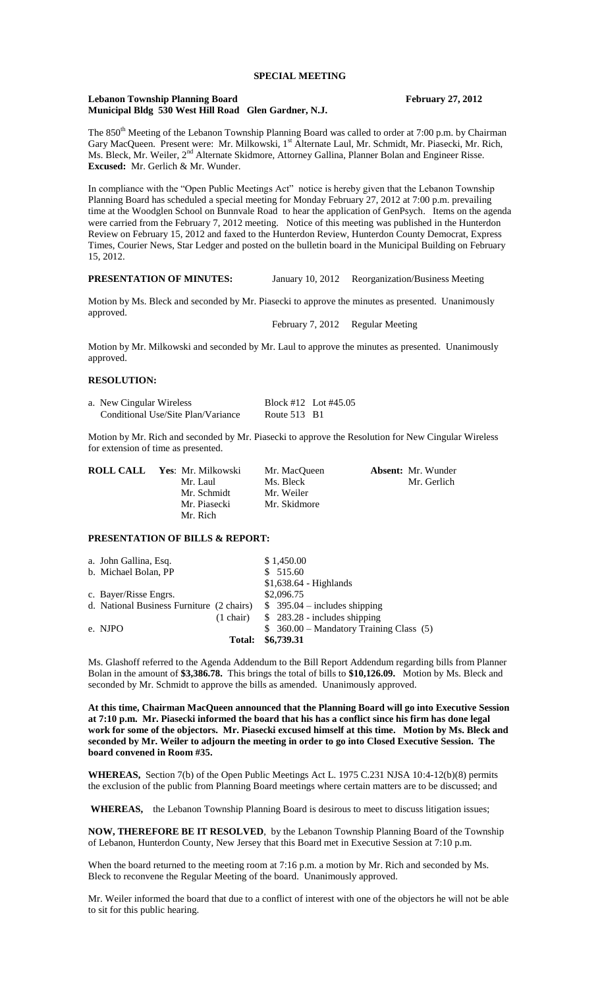#### **Lebanon Township Planning Board February 27, 2012 Municipal Bldg 530 West Hill Road Glen Gardner, N.J.**

The 850<sup>th</sup> Meeting of the Lebanon Township Planning Board was called to order at 7:00 p.m. by Chairman Gary MacQueen. Present were: Mr. Milkowski, 1<sup>st</sup> Alternate Laul, Mr. Schmidt, Mr. Piasecki, Mr. Rich, Ms. Bleck, Mr. Weiler, 2<sup>nd</sup> Alternate Skidmore, Attorney Gallina, Planner Bolan and Engineer Risse. **Excused:** Mr. Gerlich & Mr. Wunder.

In compliance with the "Open Public Meetings Act" notice is hereby given that the Lebanon Township Planning Board has scheduled a special meeting for Monday February 27, 2012 at 7:00 p.m. prevailing time at the Woodglen School on Bunnvale Road to hear the application of GenPsych. Items on the agenda were carried from the February 7, 2012 meeting. Notice of this meeting was published in the Hunterdon Review on February 15, 2012 and faxed to the Hunterdon Review, Hunterdon County Democrat, Express Times, Courier News, Star Ledger and posted on the bulletin board in the Municipal Building on February 15, 2012.

# **PRESENTATION OF MINUTES:** January 10, 2012 Reorganization/Business Meeting

Motion by Ms. Bleck and seconded by Mr. Piasecki to approve the minutes as presented. Unanimously approved.

February 7, 2012 Regular Meeting

Motion by Mr. Milkowski and seconded by Mr. Laul to approve the minutes as presented. Unanimously approved.

## **RESOLUTION:**

| a. New Cingular Wireless           |                | Block #12 Lot #45.05 |
|------------------------------------|----------------|----------------------|
| Conditional Use/Site Plan/Variance | Route $513$ B1 |                      |

Motion by Mr. Rich and seconded by Mr. Piasecki to approve the Resolution for New Cingular Wireless for extension of time as presented.

| <b>ROLL CALL Yes: Mr. Milkowski</b> | Mr. MacOueen | <b>Absent:</b> Mr. Wunder |
|-------------------------------------|--------------|---------------------------|
| Mr. Laul                            | Ms. Bleck    | Mr. Gerlich               |
| Mr. Schmidt                         | Mr. Weiler   |                           |
| Mr. Piasecki                        | Mr. Skidmore |                           |
| Mr. Rich                            |              |                           |

### **PRESENTATION OF BILLS & REPORT:**

| a. John Gallina, Esq.                     |               | \$1,450.00                                        |
|-------------------------------------------|---------------|---------------------------------------------------|
| b. Michael Bolan, PP                      |               | \$515.60                                          |
|                                           |               | $$1,638.64$ - Highlands                           |
| c. Bayer/Risse Engrs.                     |               | \$2,096.75                                        |
| d. National Business Furniture (2 chairs) |               | $$395.04$ - includes shipping                     |
|                                           |               | $(1 \text{ chair})$ \$ 283.28 - includes shipping |
| e. NJPO                                   |               | $$360.00 - Mandatory Training Class (5)$          |
|                                           | <b>Total:</b> | \$6,739.31                                        |

Ms. Glashoff referred to the Agenda Addendum to the Bill Report Addendum regarding bills from Planner Bolan in the amount of **\$3,386.78.** This brings the total of bills to **\$10,126.09.** Motion by Ms. Bleck and seconded by Mr. Schmidt to approve the bills as amended. Unanimously approved.

**At this time, Chairman MacQueen announced that the Planning Board will go into Executive Session at 7:10 p.m. Mr. Piasecki informed the board that his has a conflict since his firm has done legal work for some of the objectors. Mr. Piasecki excused himself at this time. Motion by Ms. Bleck and seconded by Mr. Weiler to adjourn the meeting in order to go into Closed Executive Session. The board convened in Room #35.**

**WHEREAS,** Section 7(b) of the Open Public Meetings Act L. 1975 C.231 NJSA 10:4-12(b)(8) permits the exclusion of the public from Planning Board meetings where certain matters are to be discussed; and

**WHEREAS,** the Lebanon Township Planning Board is desirous to meet to discuss litigation issues;

**NOW, THEREFORE BE IT RESOLVED**, by the Lebanon Township Planning Board of the Township of Lebanon, Hunterdon County, New Jersey that this Board met in Executive Session at 7:10 p.m.

When the board returned to the meeting room at 7:16 p.m. a motion by Mr. Rich and seconded by Ms. Bleck to reconvene the Regular Meeting of the board. Unanimously approved.

Mr. Weiler informed the board that due to a conflict of interest with one of the objectors he will not be able to sit for this public hearing.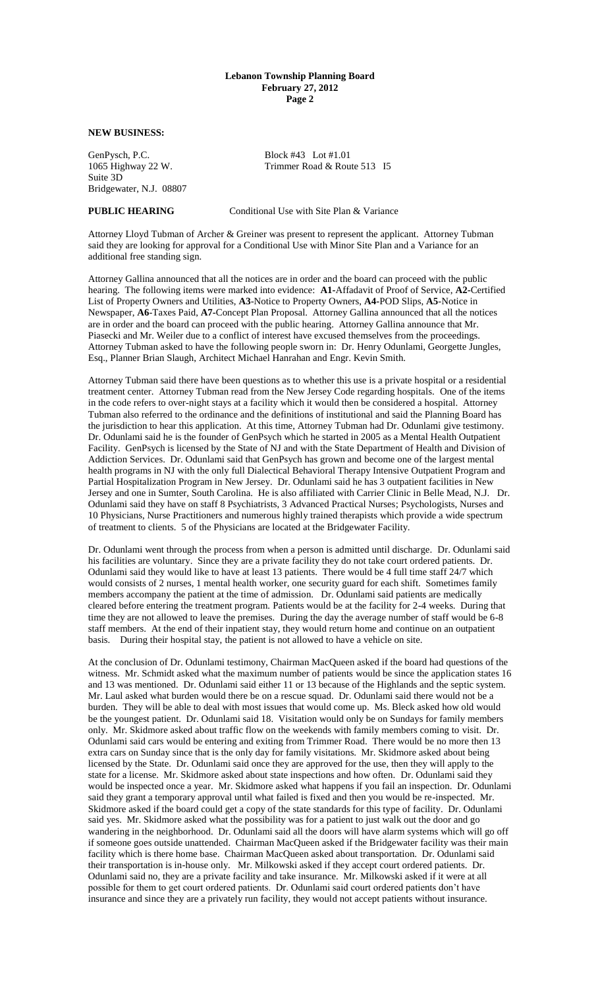## **Lebanon Township Planning Board February 27, 2012 Page 2**

# **NEW BUSINESS:**

GenPysch, P.C.<br>1065 Highway 22 W. Trimmer Road & Rou Suite 3D Bridgewater, N.J. 08807

Trimmer Road & Route 513 I5

**PUBLIC HEARING** Conditional Use with Site Plan & Variance

Attorney Lloyd Tubman of Archer & Greiner was present to represent the applicant. Attorney Tubman said they are looking for approval for a Conditional Use with Minor Site Plan and a Variance for an additional free standing sign.

Attorney Gallina announced that all the notices are in order and the board can proceed with the public hearing. The following items were marked into evidence: **A1-**Affadavit of Proof of Service, **A2-**Certified List of Property Owners and Utilities, **A3**-Notice to Property Owners, **A4-**POD Slips, **A5**-Notice in Newspaper, **A6**-Taxes Paid, **A7-**Concept Plan Proposal. Attorney Gallina announced that all the notices are in order and the board can proceed with the public hearing. Attorney Gallina announce that Mr. Piasecki and Mr. Weiler due to a conflict of interest have excused themselves from the proceedings. Attorney Tubman asked to have the following people sworn in: Dr. Henry Odunlami, Georgette Jungles, Esq., Planner Brian Slaugh, Architect Michael Hanrahan and Engr. Kevin Smith.

Attorney Tubman said there have been questions as to whether this use is a private hospital or a residential treatment center. Attorney Tubman read from the New Jersey Code regarding hospitals. One of the items in the code refers to over-night stays at a facility which it would then be considered a hospital. Attorney Tubman also referred to the ordinance and the definitions of institutional and said the Planning Board has the jurisdiction to hear this application. At this time, Attorney Tubman had Dr. Odunlami give testimony. Dr. Odunlami said he is the founder of GenPsych which he started in 2005 as a Mental Health Outpatient Facility. GenPsych is licensed by the State of NJ and with the State Department of Health and Division of Addiction Services. Dr. Odunlami said that GenPsych has grown and become one of the largest mental health programs in NJ with the only full Dialectical Behavioral Therapy Intensive Outpatient Program and Partial Hospitalization Program in New Jersey. Dr. Odunlami said he has 3 outpatient facilities in New Jersey and one in Sumter, South Carolina. He is also affiliated with Carrier Clinic in Belle Mead, N.J. Dr. Odunlami said they have on staff 8 Psychiatrists, 3 Advanced Practical Nurses; Psychologists, Nurses and 10 Physicians, Nurse Practitioners and numerous highly trained therapists which provide a wide spectrum of treatment to clients. 5 of the Physicians are located at the Bridgewater Facility.

Dr. Odunlami went through the process from when a person is admitted until discharge. Dr. Odunlami said his facilities are voluntary. Since they are a private facility they do not take court ordered patients. Dr. Odunlami said they would like to have at least 13 patients. There would be 4 full time staff 24/7 which would consists of 2 nurses, 1 mental health worker, one security guard for each shift. Sometimes family members accompany the patient at the time of admission. Dr. Odunlami said patients are medically cleared before entering the treatment program. Patients would be at the facility for 2-4 weeks. During that time they are not allowed to leave the premises. During the day the average number of staff would be 6-8 staff members. At the end of their inpatient stay, they would return home and continue on an outpatient basis. During their hospital stay, the patient is not allowed to have a vehicle on site.

At the conclusion of Dr. Odunlami testimony, Chairman MacQueen asked if the board had questions of the witness. Mr. Schmidt asked what the maximum number of patients would be since the application states 16 and 13 was mentioned. Dr. Odunlami said either 11 or 13 because of the Highlands and the septic system. Mr. Laul asked what burden would there be on a rescue squad. Dr. Odunlami said there would not be a burden. They will be able to deal with most issues that would come up. Ms. Bleck asked how old would be the youngest patient. Dr. Odunlami said 18. Visitation would only be on Sundays for family members only. Mr. Skidmore asked about traffic flow on the weekends with family members coming to visit. Dr. Odunlami said cars would be entering and exiting from Trimmer Road. There would be no more then 13 extra cars on Sunday since that is the only day for family visitations. Mr. Skidmore asked about being licensed by the State. Dr. Odunlami said once they are approved for the use, then they will apply to the state for a license. Mr. Skidmore asked about state inspections and how often. Dr. Odunlami said they would be inspected once a year. Mr. Skidmore asked what happens if you fail an inspection. Dr. Odunlami said they grant a temporary approval until what failed is fixed and then you would be re-inspected. Mr. Skidmore asked if the board could get a copy of the state standards for this type of facility. Dr. Odunlami said yes. Mr. Skidmore asked what the possibility was for a patient to just walk out the door and go wandering in the neighborhood. Dr. Odunlami said all the doors will have alarm systems which will go off if someone goes outside unattended. Chairman MacQueen asked if the Bridgewater facility was their main facility which is there home base. Chairman MacQueen asked about transportation. Dr. Odunlami said their transportation is in-house only. Mr. Milkowski asked if they accept court ordered patients. Dr. Odunlami said no, they are a private facility and take insurance. Mr. Milkowski asked if it were at all possible for them to get court ordered patients. Dr. Odunlami said court ordered patients don't have insurance and since they are a privately run facility, they would not accept patients without insurance.